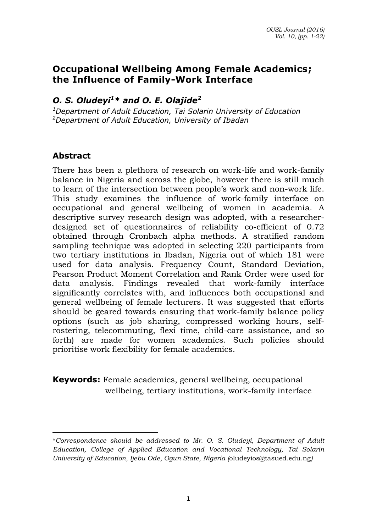## **Occupational Wellbeing Among Female Academics; the Influence of Family-Work Interface**

# *O. S. Oludeyi<sup>1</sup>\* and O. E. Olajide<sup>2</sup>*

*<sup>1</sup>Department of Adult Education, Tai Solarin University of Education <sup>2</sup>Department of Adult Education, University of Ibadan* 

#### **Abstract**

There has been a plethora of research on work-life and work-family balance in Nigeria and across the globe, however there is still much to learn of the intersection between people's work and non-work life. This study examines the influence of work-family interface on occupational and general wellbeing of women in academia. A descriptive survey research design was adopted, with a researcherdesigned set of questionnaires of reliability co-efficient of 0.72 obtained through Cronbach alpha methods. A stratified random sampling technique was adopted in selecting 220 participants from two tertiary institutions in Ibadan, Nigeria out of which 181 were used for data analysis. Frequency Count, Standard Deviation, Pearson Product Moment Correlation and Rank Order were used for data analysis. Findings revealed that work-family interface significantly correlates with, and influences both occupational and general wellbeing of female lecturers. It was suggested that efforts should be geared towards ensuring that work-family balance policy options (such as job sharing, compressed working hours, selfrostering, telecommuting, flexi time, child-care assistance, and so forth) are made for women academics. Such policies should prioritise work flexibility for female academics.

**Keywords:** Female academics, general wellbeing, occupational wellbeing, tertiary institutions, work-family interface

 $\overline{a}$ \**Correspondence should be addressed to Mr. O. S. Oludeyi, Department of Adult Education, College of Applied Education and Vocational Technology, Tai Solarin University of Education, Ijebu Ode, Ogun State, Nigeria (*[oludeyios@tasued.edu.ng](mailto:oludeyios@tasued.edu.ng)*)*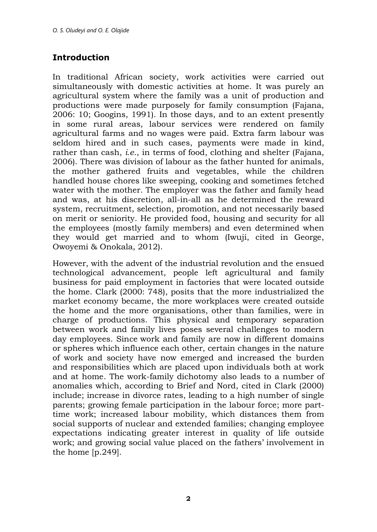## **Introduction**

In traditional African society, work activities were carried out simultaneously with domestic activities at home. It was purely an agricultural system where the family was a unit of production and productions were made purposely for family consumption (Fajana, 2006: 10; Googins, 1991). In those days, and to an extent presently in some rural areas, labour services were rendered on family agricultural farms and no wages were paid. Extra farm labour was seldom hired and in such cases, payments were made in kind, rather than cash, *i.e*., in terms of food, clothing and shelter (Fajana, 2006). There was division of labour as the father hunted for animals, the mother gathered fruits and vegetables, while the children handled house chores like sweeping, cooking and sometimes fetched water with the mother. The employer was the father and family head and was, at his discretion, all-in-all as he determined the reward system, recruitment, selection, promotion, and not necessarily based on merit or seniority. He provided food, housing and security for all the employees (mostly family members) and even determined when they would get married and to whom (Iwuji, cited in George, Owoyemi & Onokala, 2012).

However, with the advent of the industrial revolution and the ensued technological advancement, people left agricultural and family business for paid employment in factories that were located outside the home. Clark (2000: 748), posits that the more industrialized the market economy became, the more workplaces were created outside the home and the more organisations, other than families, were in charge of productions. This physical and temporary separation between work and family lives poses several challenges to modern day employees. Since work and family are now in different domains or spheres which influence each other, certain changes in the nature of work and society have now emerged and increased the burden and responsibilities which are placed upon individuals both at work and at home. The work-family dichotomy also leads to a number of anomalies which, according to Brief and Nord, cited in Clark (2000) include; increase in divorce rates, leading to a high number of single parents; growing female participation in the labour force; more parttime work; increased labour mobility, which distances them from social supports of nuclear and extended families; changing employee expectations indicating greater interest in quality of life outside work; and growing social value placed on the fathers' involvement in the home [p.249].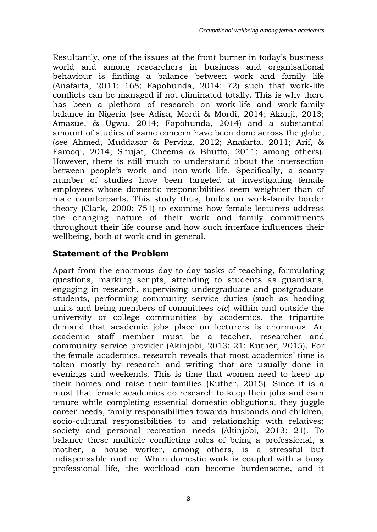Resultantly, one of the issues at the front burner in today's business world and among researchers in business and organisational behaviour is finding a balance between work and family life (Anafarta, 2011: 168; Fapohunda, 2014: 72) such that work-life conflicts can be managed if not eliminated totally. This is why there has been a plethora of research on work-life and work-family balance in Nigeria (see Adisa, Mordi & Mordi, 2014; Akanji, 2013; Amazue, & Ugwu, 2014; Fapohunda, 2014) and a substantial amount of studies of same concern have been done across the globe, (see Ahmed, Muddasar & Perviaz, 2012; Anafarta, 2011; Arif, & Farooqi, 2014; Shujat, Cheema & Bhutto, 2011; among others). However, there is still much to understand about the intersection between people's work and non-work life. Specifically, a scanty number of studies have been targeted at investigating female employees whose domestic responsibilities seem weightier than of male counterparts. This study thus, builds on work-family border theory (Clark, 2000: 751) to examine how female lecturers address the changing nature of their work and family commitments throughout their life course and how such interface influences their wellbeing, both at work and in general.

### **Statement of the Problem**

Apart from the enormous day-to-day tasks of teaching, formulating questions, marking scripts, attending to students as guardians, engaging in research, supervising undergraduate and postgraduate students, performing community service duties (such as heading units and being members of committees *etc*) within and outside the university or college communities by academics, the tripartite demand that academic jobs place on lecturers is enormous. An academic staff member must be a teacher, researcher and community service provider (Akinjobi, 2013: 21; Kuther, 2015). For the female academics, research reveals that most academics' time is taken mostly by research and writing that are usually done in evenings and weekends. This is time that women need to keep up their homes and raise their families (Kuther, 2015). Since it is a must that female academics do research to keep their jobs and earn tenure while completing essential domestic obligations, they juggle career needs, family responsibilities towards husbands and children, socio-cultural responsibilities to and relationship with relatives; society and personal recreation needs (Akinjobi, 2013: 21). To balance these multiple conflicting roles of being a professional, a mother, a house worker, among others, is a stressful but indispensable routine. When domestic work is coupled with a busy professional life, the workload can become burdensome, and it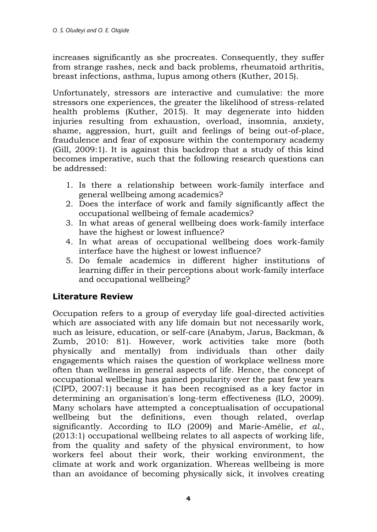increases significantly as she procreates. Consequently, they suffer from strange rashes, neck and back problems, rheumatoid arthritis, breast infections, asthma, lupus among others (Kuther, 2015).

Unfortunately, stressors are interactive and cumulative: the more stressors one experiences, the greater the likelihood of stress-related health problems (Kuther, 2015). It may degenerate into hidden injuries resulting from exhaustion, overload, insomnia, anxiety, shame, aggression, hurt, guilt and feelings of being out-of-place, fraudulence and fear of exposure within the contemporary academy (Gill, 2009:1). It is against this backdrop that a study of this kind becomes imperative, such that the following research questions can be addressed:

- 1. Is there a relationship between work-family interface and general wellbeing among academics?
- 2. Does the interface of work and family significantly affect the occupational wellbeing of female academics?
- 3. In what areas of general wellbeing does work-family interface have the highest or lowest influence?
- 4. In what areas of occupational wellbeing does work-family interface have the highest or lowest influence?
- 5. Do female academics in different higher institutions of learning differ in their perceptions about work-family interface and occupational wellbeing?

## **Literature Review**

Occupation refers to a group of everyday life goal-directed activities which are associated with any life domain but not necessarily work, such as leisure, education, or self-care (Anabym, Jarus, Backman, & Zumb, 2010: 81). However, work activities take more (both physically and mentally) from individuals than other daily engagements which raises the question of workplace wellness more often than wellness in general aspects of life. Hence, the concept of occupational wellbeing has gained popularity over the past few years (CIPD, 2007:1) because it has been recognised as a key factor in determining an organisation's long-term effectiveness (ILO, 2009). Many scholars have attempted a conceptualisation of occupational wellbeing but the definitions, even though related, overlap significantly. According to ILO (2009) and Marie-Amélie, *et al.*, (2013:1) occupational wellbeing relates to all aspects of working life, from the quality and safety of the physical environment, to how workers feel about their work, their working environment, the climate at work and work organization. Whereas wellbeing is more than an avoidance of becoming physically sick, it involves creating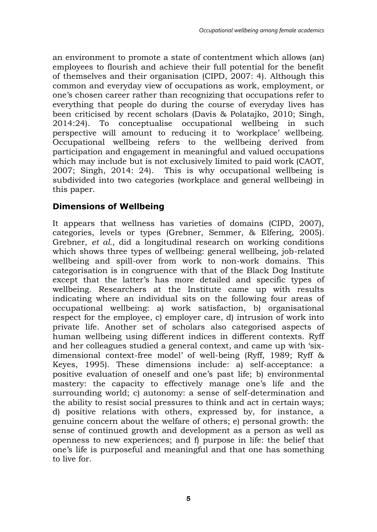an environment to promote a state of contentment which allows (an) employees to flourish and achieve their full potential for the benefit of themselves and their organisation (CIPD, 2007: 4). Although this common and everyday view of occupations as work, employment, or one's chosen career rather than recognizing that occupations refer to everything that people do during the course of everyday lives has been criticised by recent scholars (Davis & Polatajko, 2010; Singh, 2014:24). To conceptualise occupational wellbeing in such perspective will amount to reducing it to 'workplace' wellbeing. Occupational wellbeing refers to the wellbeing derived from participation and engagement in meaningful and valued occupations which may include but is not exclusively limited to paid work (CAOT, 2007; Singh, 2014: 24). This is why occupational wellbeing is subdivided into two categories (workplace and general wellbeing) in this paper.

# **Dimensions of Wellbeing**

It appears that wellness has varieties of domains (CIPD, 2007), categories, levels or types (Grebner, Semmer, & Elfering, 2005). Grebner, *et al.,* did a longitudinal research on working conditions which shows three types of wellbeing: general wellbeing, job-related wellbeing and spill-over from work to non-work domains. This categorisation is in congruence with that of the Black Dog Institute except that the latter's has more detailed and specific types of wellbeing. Researchers at the Institute came up with results indicating where an individual sits on the following four areas of occupational wellbeing: a) work satisfaction, b) organisational respect for the employee, c) employer care, d) intrusion of work into private life. Another set of scholars also categorised aspects of human wellbeing using different indices in different contexts. Ryff and her colleagues studied a general context, and came up with 'sixdimensional context-free model' of well-being (Ryff, 1989; Ryff & Keyes, 1995). These dimensions include: a) self-acceptance: a positive evaluation of oneself and one's past life; b) environmental mastery: the capacity to effectively manage one's life and the surrounding world; c) autonomy: a sense of self-determination and the ability to resist social pressures to think and act in certain ways; d) positive relations with others, expressed by, for instance, a genuine concern about the welfare of others; e) personal growth: the sense of continued growth and development as a person as well as openness to new experiences; and f) purpose in life: the belief that one's life is purposeful and meaningful and that one has something to live for.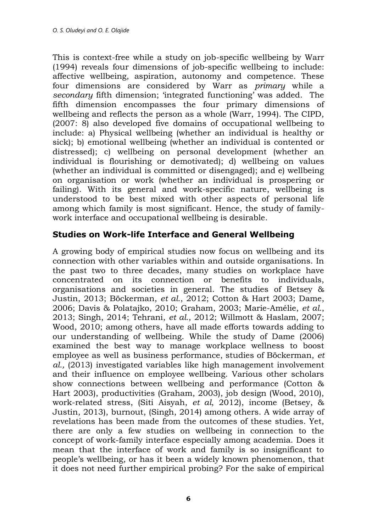This is context-free while a study on job-specific wellbeing by Warr (1994) reveals four dimensions of job-specific wellbeing to include: affective wellbeing, aspiration, autonomy and competence. These four dimensions are considered by Warr as *primary* while a *secondary* fifth dimension; 'integrated functioning' was added. The fifth dimension encompasses the four primary dimensions of wellbeing and reflects the person as a whole (Warr, 1994). The CIPD, (2007: 8) also developed five domains of occupational wellbeing to include: a) Physical wellbeing (whether an individual is healthy or sick); b) emotional wellbeing (whether an individual is contented or distressed); c) wellbeing on personal development (whether an individual is flourishing or demotivated); d) wellbeing on values (whether an individual is committed or disengaged); and e) wellbeing on organisation or work (whether an individual is prospering or failing). With its general and work-specific nature, wellbeing is understood to be best mixed with other aspects of personal life among which family is most significant. Hence, the study of familywork interface and occupational wellbeing is desirable.

#### **Studies on Work-life Interface and General Wellbeing**

A growing body of empirical studies now focus on wellbeing and its connection with other variables within and outside organisations. In the past two to three decades, many studies on workplace have concentrated on its connection or benefits to individuals, organisations and societies in general. The studies of Betsey & Justin, 2013; Böckerman, *et al.*, 2012; Cotton & Hart 2003; Dame, 2006; Davis & Polatajko, 2010; Graham, 2003; Marie-Amélie, *et al.*, 2013; Singh, 2014; Tehrani, *et al.*, 2012; Willmott & Haslam, 2007; Wood, 2010; among others, have all made efforts towards adding to our understanding of wellbeing. While the study of Dame (2006) examined the best way to manage workplace wellness to boost employee as well as business performance, studies of Böckerman, *et al.,* (2013) investigated variables like high management involvement and their influence on employee wellbeing. Various other scholars show connections between wellbeing and performance (Cotton & Hart 2003), productivities (Graham, 2003), job design (Wood, 2010), work-related stress, (Siti Aisyah, *et al*, 2012), income (Betsey, & Justin, 2013), burnout, (Singh, 2014) among others. A wide array of revelations has been made from the outcomes of these studies. Yet, there are only a few studies on wellbeing in connection to the concept of work-family interface especially among academia. Does it mean that the interface of work and family is so insignificant to people's wellbeing, or has it been a widely known phenomenon, that it does not need further empirical probing? For the sake of empirical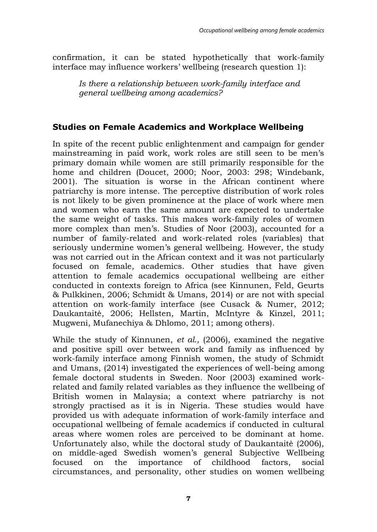confirmation, it can be stated hypothetically that work-family interface may influence workers' wellbeing (research question 1):

*Is there a relationship between work-family interface and general wellbeing among academics?* 

### **Studies on Female Academics and Workplace Wellbeing**

In spite of the recent public enlightenment and campaign for gender mainstreaming in paid work, work roles are still seen to be men's primary domain while women are still primarily responsible for the home and children (Doucet, 2000; Noor, 2003: 298; Windebank, 2001). The situation is worse in the African continent where patriarchy is more intense. The perceptive distribution of work roles is not likely to be given prominence at the place of work where men and women who earn the same amount are expected to undertake the same weight of tasks. This makes work-family roles of women more complex than men's. Studies of Noor (2003), accounted for a number of family-related and work-related roles (variables) that seriously undermine women's general wellbeing. However, the study was not carried out in the African context and it was not particularly focused on female, academics. Other studies that have given attention to female academics occupational wellbeing are either conducted in contexts foreign to Africa (see Kinnunen, Feld, Geurts & Pulkkinen, 2006; Schmidt & Umans, 2014) or are not with special attention on work-family interface (see Cusack & Numer, 2012; Daukantaitė, 2006; Hellsten, Martin, McIntyre & Kinzel, 2011; Mugweni, Mufanechiya & Dhlomo, 2011; among others).

While the study of Kinnunen, *et al.,* (2006), examined the negative and positive spill over between work and family as influenced by work-family interface among Finnish women, the study of Schmidt and Umans, (2014) investigated the experiences of well-being among female doctoral students in Sweden. Noor (2003) examined workrelated and family related variables as they influence the wellbeing of British women in Malaysia; a context where patriarchy is not strongly practised as it is in Nigeria. These studies would have provided us with adequate information of work-family interface and occupational wellbeing of female academics if conducted in cultural areas where women roles are perceived to be dominant at home. Unfortunately also, while the doctoral study of Daukantaitė (2006), on middle-aged Swedish women's general Subjective Wellbeing focused on the importance of childhood factors, social circumstances, and personality, other studies on women wellbeing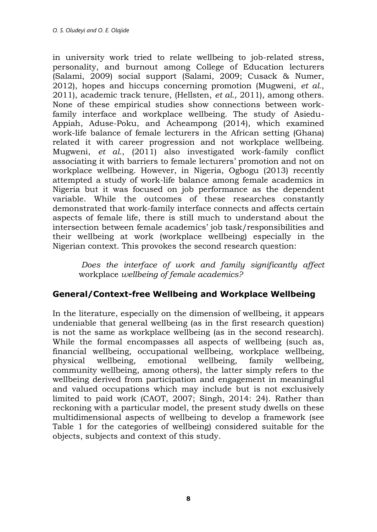in university work tried to relate wellbeing to job-related stress, personality, and burnout among College of Education lecturers (Salami, 2009) social support (Salami, 2009; Cusack & Numer, 2012), hopes and hiccups concerning promotion (Mugweni, *et al.*, 2011), academic track tenure, (Hellsten, *et al.,* 2011), among others. None of these empirical studies show connections between workfamily interface and workplace wellbeing. The study of Asiedu-Appiah, Aduse-Poku, and Acheampong (2014), which examined work-life balance of female lecturers in the African setting (Ghana) related it with career progression and not workplace wellbeing. Mugweni, *et al.*, (2011) also investigated work-family conflict associating it with barriers to female lecturers' promotion and not on workplace wellbeing. However, in Nigeria, Ogbogu (2013) recently attempted a study of work-life balance among female academics in Nigeria but it was focused on job performance as the dependent variable. While the outcomes of these researches constantly demonstrated that work-family interface connects and affects certain aspects of female life, there is still much to understand about the intersection between female academics' job task/responsibilities and their wellbeing at work (workplace wellbeing) especially in the Nigerian context. This provokes the second research question:

 *Does the interface of work and family significantly affect*  workplace *wellbeing of female academics?* 

## **General/Context-free Wellbeing and Workplace Wellbeing**

In the literature, especially on the dimension of wellbeing, it appears undeniable that general wellbeing (as in the first research question) is not the same as workplace wellbeing (as in the second research). While the formal encompasses all aspects of wellbeing (such as, financial wellbeing, occupational wellbeing, workplace wellbeing, physical wellbeing, emotional wellbeing, family wellbeing, community wellbeing, among others), the latter simply refers to the wellbeing derived from participation and engagement in meaningful and valued occupations which may include but is not exclusively limited to paid work (CAOT, 2007; Singh, 2014: 24). Rather than reckoning with a particular model, the present study dwells on these multidimensional aspects of wellbeing to develop a framework (see Table 1 for the categories of wellbeing) considered suitable for the objects, subjects and context of this study.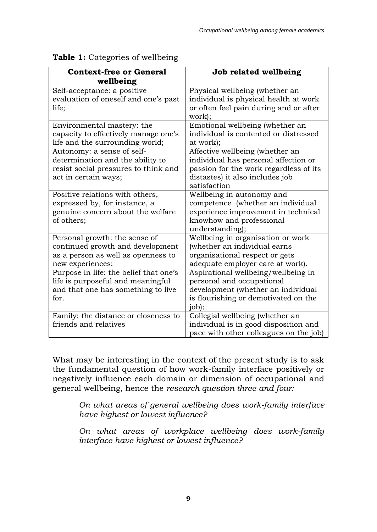| <b>Context-free or General</b>             | Job related wellbeing                         |
|--------------------------------------------|-----------------------------------------------|
| wellbeing                                  |                                               |
| Self-acceptance: a positive                | Physical wellbeing (whether an                |
| evaluation of oneself and one's past       | individual is physical health at work         |
| life;                                      | or often feel pain during and or after        |
|                                            | work);                                        |
| Environmental mastery: the                 | Emotional wellbeing (whether an               |
| capacity to effectively manage one's       | individual is contented or distressed         |
| life and the surrounding world;            | at work);                                     |
| Autonomy: a sense of self-                 | Affective wellbeing (whether an               |
| determination and the ability to           | individual has personal affection or          |
| resist social pressures to think and       | passion for the work regardless of its        |
| act in certain ways;                       | distastes) it also includes job               |
|                                            | satisfaction                                  |
| Positive relations with others,            | Wellbeing in autonomy and                     |
| expressed by, for instance, a              | competence (whether an individual             |
| genuine concern about the welfare          | experience improvement in technical           |
| of others;                                 | knowhow and professional                      |
|                                            | understanding);                               |
| Personal growth: the sense of              | Wellbeing in organisation or work             |
| continued growth and development           | (whether an individual earns                  |
| as a person as well as openness to         | organisational respect or gets                |
| new experiences;                           | adequate employer care at work).              |
| Purpose in life: the belief that one's     | Aspirational wellbeing/wellbeing in           |
| life is purposeful and meaningful          | personal and occupational                     |
| and that one has something to live<br>for. | development (whether an individual            |
|                                            | is flourishing or demotivated on the<br>job); |
| Family: the distance or closeness to       | Collegial wellbeing (whether an               |
| friends and relatives                      | individual is in good disposition and         |
|                                            | pace with other colleagues on the job)        |
|                                            |                                               |

#### **Table 1:** Categories of wellbeing

What may be interesting in the context of the present study is to ask the fundamental question of how work-family interface positively or negatively influence each domain or dimension of occupational and general wellbeing, hence the *research question three and four:* 

*On what areas of general wellbeing does work-family interface have highest or lowest influence?* 

*On what areas of workplace wellbeing does work-family interface have highest or lowest influence?*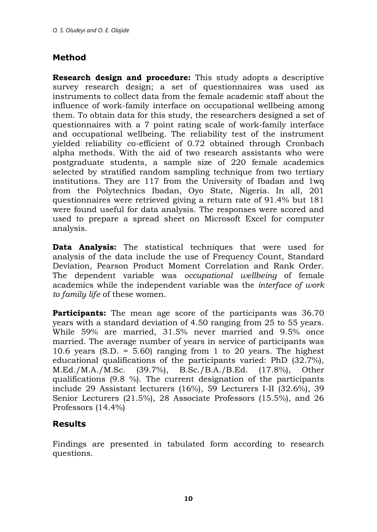# **Method**

**Research design and procedure:** This study adopts a descriptive survey research design; a set of questionnaires was used as instruments to collect data from the female academic staff about the influence of work-family interface on occupational wellbeing among them. To obtain data for this study, the researchers designed a set of questionnaires with a 7 point rating scale of work-family interface and occupational wellbeing. The reliability test of the instrument yielded reliability co-efficient of 0.72 obtained through Cronbach alpha methods. With the aid of two research assistants who were postgraduate students, a sample size of 220 female academics selected by stratified random sampling technique from two tertiary institutions. They are 117 from the University of Ibadan and 1wq from the Polytechnics Ibadan, Oyo State, Nigeria. In all, 201 questionnaires were retrieved giving a return rate of 91.4% but 181 were found useful for data analysis. The responses were scored and used to prepare a spread sheet on Microsoft Excel for computer analysis.

**Data Analysis:** The statistical techniques that were used for analysis of the data include the use of Frequency Count, Standard Deviation, Pearson Product Moment Correlation and Rank Order. The dependent variable was *occupational wellbeing* of female academics while the independent variable was the *interface of work to family life* of these women.

**Participants:** The mean age score of the participants was 36.70 years with a standard deviation of 4.50 ranging from 25 to 55 years. While 59% are married, 31.5% never married and 9.5% once married. The average number of years in service of participants was 10.6 years (S.D. = 5.60) ranging from 1 to 20 years. The highest educational qualifications of the participants varied: PhD (32.7%), M.Ed./M.A./M.Sc. (39.7%), B.Sc./B.A./B.Ed. (17.8%), Other qualifications (9.8 %). The current designation of the participants include 29 Assistant lecturers (16%), 59 Lecturers I-II (32.6%), 39 Senior Lecturers (21.5%), 28 Associate Professors (15.5%), and 26 Professors (14.4%)

## **Results**

Findings are presented in tabulated form according to research questions.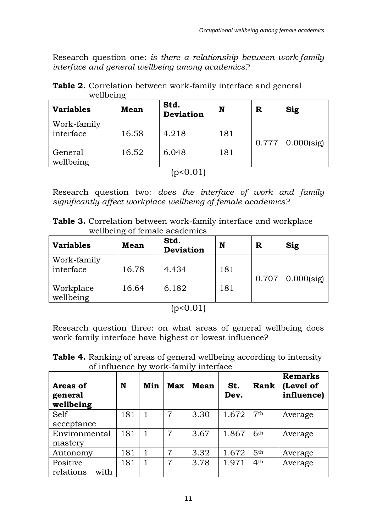Research question one: *is there a relationship between work-family interface and general wellbeing among academics?* 

| <b>Variables</b>         | Mean  | Std.<br>Deviation | N   | R     | Sig           |
|--------------------------|-------|-------------------|-----|-------|---------------|
| Work-family<br>interface | 16.58 | 4.218             | 181 | 0.777 | $0.000$ (sig) |
| General<br>wellbeing     | 16.52 | 6.048             | 181 |       |               |
|                          |       | (p<0.01)          |     |       |               |

**Table 2.** Correlation between work-family interface and general wellbeing

Research question two: *does the interface of work and family significantly affect workplace wellbeing of female academics?* 

|                               | <b>Table 3.</b> Correlation between work-family interface and workplace |  |  |
|-------------------------------|-------------------------------------------------------------------------|--|--|
| wellbeing of female academics |                                                                         |  |  |

| <b>Variables</b> | <b>Mean</b> | Std.<br><b>Deviation</b> | N   | R     | Sig           |
|------------------|-------------|--------------------------|-----|-------|---------------|
| Work-family      |             |                          |     |       |               |
| interface        | 16.78       | 4.434                    | 181 |       |               |
|                  |             |                          |     | 0.707 | $0.000$ (sig) |
| Workplace        | 16.64       | 6.182                    | 181 |       |               |
| wellbeing        |             |                          |     |       |               |
|                  |             | $(1.10 \times 1)$        |     |       |               |

 $(p<0.01)$ 

Research question three: on what areas of general wellbeing does work-family interface have highest or lowest influence?

**Table 4.** Ranking of areas of general wellbeing according to intensity of influence by work-family interface

| Areas of<br>general<br>wellbeing | N   | Min | <b>Max</b> | Mean | St.<br>Dev. | Rank            | <b>Remarks</b><br>(Level of<br>influence) |
|----------------------------------|-----|-----|------------|------|-------------|-----------------|-------------------------------------------|
| Self-                            | 181 |     | 7          | 3.30 | 1.672       | 7 <sub>th</sub> | Average                                   |
| acceptance                       |     |     |            |      |             |                 |                                           |
| Environmental                    | 181 |     | 7          | 3.67 | 1.867       | 6 <sup>th</sup> | Average                                   |
| mastery                          |     |     |            |      |             |                 |                                           |
| Autonomy                         | 181 |     | 7          | 3.32 | 1.672       | 5 <sup>th</sup> | Average                                   |
| Positive                         | 181 |     | 7          | 3.78 | 1.971       | 4 <sup>th</sup> | Average                                   |
| relations<br>with                |     |     |            |      |             |                 |                                           |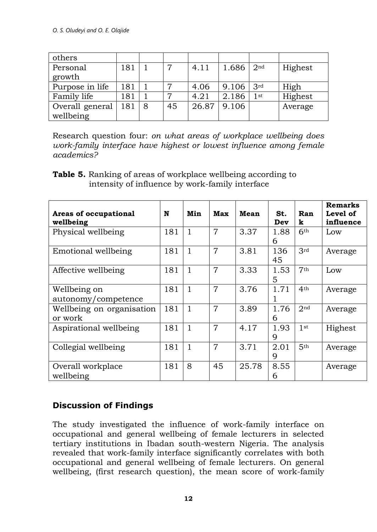| others          |     |   |    |       |       |                 |         |
|-----------------|-----|---|----|-------|-------|-----------------|---------|
| Personal        | 181 |   | 7  | 4.11  | 1.686 | 2 <sub>nd</sub> | Highest |
| growth          |     |   |    |       |       |                 |         |
| Purpose in life | 181 |   | 7  | 4.06  | 9.106 | 3 <sup>rd</sup> | High    |
| Family life     | 181 |   | 7  | 4.21  | 2.186 | 1st             | Highest |
| Overall general | 181 | 8 | 45 | 26.87 | 9.106 |                 | Average |
| wellbeing       |     |   |    |       |       |                 |         |

Research question four: *on what areas of workplace wellbeing does work-family interface have highest or lowest influence among female academics?*

| <b>Table 5.</b> Ranking of areas of workplace wellbeing according to |
|----------------------------------------------------------------------|
| intensity of influence by work-family interface                      |

| Areas of occupational<br>wellbeing   | N   | Min          | Max            | Mean  | St.<br>Dev | Ran<br>k        | <b>Remarks</b><br>Level of<br>influence |
|--------------------------------------|-----|--------------|----------------|-------|------------|-----------------|-----------------------------------------|
| Physical wellbeing                   | 181 | $\mathbf{1}$ | $\overline{7}$ | 3.37  | 1.88<br>6  | 6th             | Low                                     |
| Emotional wellbeing                  | 181 | 1            | $\overline{7}$ | 3.81  | 136<br>45  | 3rd             | Average                                 |
| Affective wellbeing                  | 181 | 1            | $\overline{7}$ | 3.33  | 1.53<br>5  | 7 <sup>th</sup> | Low                                     |
| Wellbeing on<br>autonomy/competence  | 181 | $\mathbf{1}$ | $\overline{7}$ | 3.76  | 1.71       | 4 <sup>th</sup> | Average                                 |
| Wellbeing on organisation<br>or work | 181 | 1            | $\overline{7}$ | 3.89  | 1.76<br>6  | 2 <sub>nd</sub> | Average                                 |
| Aspirational wellbeing               | 181 | 1            | $\overline{7}$ | 4.17  | 1.93<br>9  | 1st             | Highest                                 |
| Collegial wellbeing                  | 181 | 1            | $\overline{7}$ | 3.71  | 2.01<br>9  | 5 <sup>th</sup> | Average                                 |
| Overall workplace<br>wellbeing       | 181 | 8            | 45             | 25.78 | 8.55<br>6  |                 | Average                                 |

## **Discussion of Findings**

The study investigated the influence of work-family interface on occupational and general wellbeing of female lecturers in selected tertiary institutions in Ibadan south-western Nigeria. The analysis revealed that work-family interface significantly correlates with both occupational and general wellbeing of female lecturers. On general wellbeing, (first research question), the mean score of work-family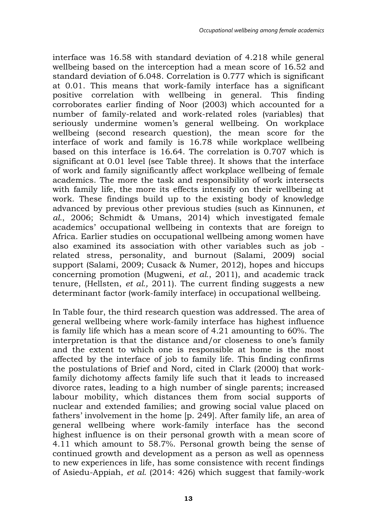interface was 16.58 with standard deviation of 4.218 while general wellbeing based on the interception had a mean score of 16.52 and standard deviation of 6.048. Correlation is 0.777 which is significant at 0.01. This means that work-family interface has a significant positive correlation with wellbeing in general. This finding corroborates earlier finding of Noor (2003) which accounted for a number of family-related and work-related roles (variables) that seriously undermine women's general wellbeing. On workplace wellbeing (second research question), the mean score for the interface of work and family is 16.78 while workplace wellbeing based on this interface is 16.64. The correlation is 0.707 which is significant at 0.01 level (see Table three). It shows that the interface of work and family significantly affect workplace wellbeing of female academics. The more the task and responsibility of work intersects with family life, the more its effects intensify on their wellbeing at work. These findings build up to the existing body of knowledge advanced by previous other previous studies (such as Kinnunen, *et al.*, 2006; Schmidt & Umans, 2014) which investigated female academics' occupational wellbeing in contexts that are foreign to Africa. Earlier studies on occupational wellbeing among women have also examined its association with other variables such as job related stress, personality, and burnout (Salami, 2009) social support (Salami, 2009; Cusack & Numer, 2012), hopes and hiccups concerning promotion (Mugweni, *et al.*, 2011), and academic track tenure, (Hellsten, *et al.,* 2011). The current finding suggests a new determinant factor (work-family interface) in occupational wellbeing.

In Table four, the third research question was addressed. The area of general wellbeing where work-family interface has highest influence is family life which has a mean score of 4.21 amounting to 60%. The interpretation is that the distance and/or closeness to one's family and the extent to which one is responsible at home is the most affected by the interface of job to family life. This finding confirms the postulations of Brief and Nord, cited in Clark (2000) that workfamily dichotomy affects family life such that it leads to increased divorce rates, leading to a high number of single parents; increased labour mobility, which distances them from social supports of nuclear and extended families; and growing social value placed on fathers' involvement in the home [p. 249]. After family life, an area of general wellbeing where work-family interface has the second highest influence is on their personal growth with a mean score of 4.11 which amount to 58.7%. Personal growth being the sense of continued growth and development as a person as well as openness to new experiences in life, has some consistence with recent findings of Asiedu-Appiah, *et al.* (2014: 426) which suggest that family-work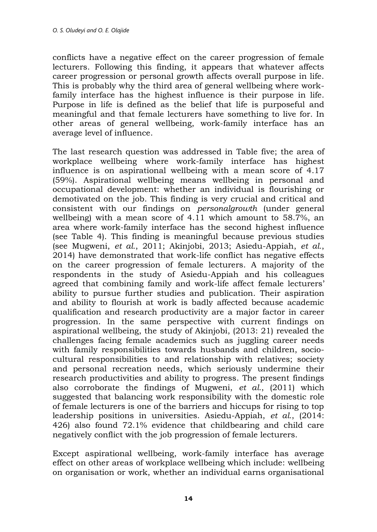conflicts have a negative effect on the career progression of female lecturers. Following this finding, it appears that whatever affects career progression or personal growth affects overall purpose in life. This is probably why the third area of general wellbeing where workfamily interface has the highest influence is their purpose in life. Purpose in life is defined as the belief that life is purposeful and meaningful and that female lecturers have something to live for. In other areas of general wellbeing, work-family interface has an average level of influence.

The last research question was addressed in Table five; the area of workplace wellbeing where work-family interface has highest influence is on aspirational wellbeing with a mean score of 4.17 (59%). Aspirational wellbeing means wellbeing in personal and occupational development: whether an individual is flourishing or demotivated on the job. This finding is very crucial and critical and consistent with our findings on *personalgrowth* (under general wellbeing) with a mean score of 4.11 which amount to 58.7%, an area where work-family interface has the second highest influence (see Table 4). This finding is meaningful because previous studies (see Mugweni, *et al.*, 2011; Akinjobi, 2013; Asiedu-Appiah, *et al.*, 2014) have demonstrated that work-life conflict has negative effects on the career progression of female lecturers. A majority of the respondents in the study of Asiedu-Appiah and his colleagues agreed that combining family and work-life affect female lecturers' ability to pursue further studies and publication. Their aspiration and ability to flourish at work is badly affected because academic qualification and research productivity are a major factor in career progression. In the same perspective with current findings on aspirational wellbeing, the study of Akinjobi, (2013: 21) revealed the challenges facing female academics such as juggling career needs with family responsibilities towards husbands and children, sociocultural responsibilities to and relationship with relatives; society and personal recreation needs, which seriously undermine their research productivities and ability to progress. The present findings also corroborate the findings of Mugweni, *et al.*, (2011) which suggested that balancing work responsibility with the domestic role of female lecturers is one of the barriers and hiccups for rising to top leadership positions in universities. Asiedu-Appiah, *et al.*, (2014: 426) also found 72.1% evidence that childbearing and child care negatively conflict with the job progression of female lecturers.

Except aspirational wellbeing, work-family interface has average effect on other areas of workplace wellbeing which include: wellbeing on organisation or work, whether an individual earns organisational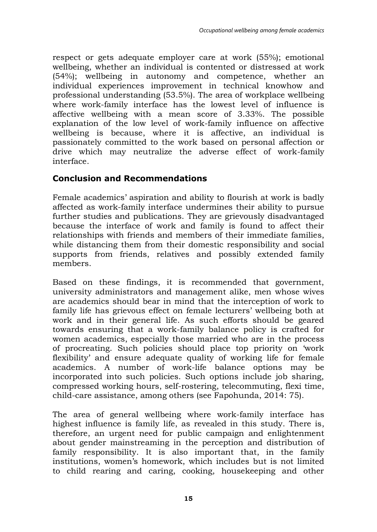respect or gets adequate employer care at work (55%); emotional wellbeing, whether an individual is contented or distressed at work (54%); wellbeing in autonomy and competence, whether an individual experiences improvement in technical knowhow and professional understanding (53.5%). The area of workplace wellbeing where work-family interface has the lowest level of influence is affective wellbeing with a mean score of 3.33%. The possible explanation of the low level of work-family influence on affective wellbeing is because, where it is affective, an individual is passionately committed to the work based on personal affection or drive which may neutralize the adverse effect of work-family interface.

#### **Conclusion and Recommendations**

Female academics' aspiration and ability to flourish at work is badly affected as work-family interface undermines their ability to pursue further studies and publications. They are grievously disadvantaged because the interface of work and family is found to affect their relationships with friends and members of their immediate families, while distancing them from their domestic responsibility and social supports from friends, relatives and possibly extended family members.

Based on these findings, it is recommended that government, university administrators and management alike, men whose wives are academics should bear in mind that the interception of work to family life has grievous effect on female lecturers' wellbeing both at work and in their general life. As such efforts should be geared towards ensuring that a work-family balance policy is crafted for women academics, especially those married who are in the process of procreating. Such policies should place top priority on 'work flexibility' and ensure adequate quality of working life for female academics. A number of work-life balance options may be incorporated into such policies. Such options include job sharing, compressed working hours, self-rostering, telecommuting, flexi time, child-care assistance, among others (see Fapohunda, 2014: 75).

The area of general wellbeing where work-family interface has highest influence is family life, as revealed in this study. There is, therefore, an urgent need for public campaign and enlightenment about gender mainstreaming in the perception and distribution of family responsibility. It is also important that, in the family institutions, women's homework, which includes but is not limited to child rearing and caring, cooking, housekeeping and other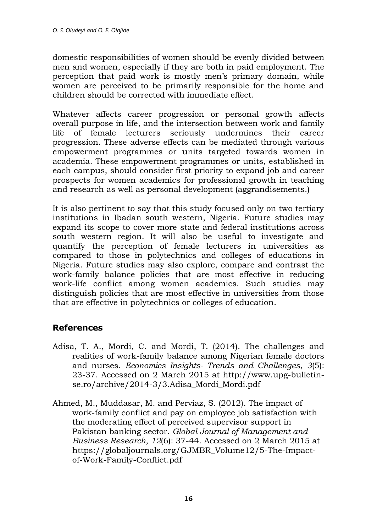domestic responsibilities of women should be evenly divided between men and women, especially if they are both in paid employment. The perception that paid work is mostly men's primary domain, while women are perceived to be primarily responsible for the home and children should be corrected with immediate effect.

Whatever affects career progression or personal growth affects overall purpose in life, and the intersection between work and family life of female lecturers seriously undermines their career progression. These adverse effects can be mediated through various empowerment programmes or units targeted towards women in academia. These empowerment programmes or units, established in each campus, should consider first priority to expand job and career prospects for women academics for professional growth in teaching and research as well as personal development (aggrandisements.)

It is also pertinent to say that this study focused only on two tertiary institutions in Ibadan south western, Nigeria. Future studies may expand its scope to cover more state and federal institutions across south western region. It will also be useful to investigate and quantify the perception of female lecturers in universities as compared to those in polytechnics and colleges of educations in Nigeria. Future studies may also explore, compare and contrast the work-family balance policies that are most effective in reducing work-life conflict among women academics. Such studies may distinguish policies that are most effective in universities from those that are effective in polytechnics or colleges of education.

#### **References**

- Adisa, T. A., Mordi, C. and Mordi, T. (2014). The challenges and realities of work-family balance among Nigerian female doctors and nurses. *Economics Insights- Trends and Challenges*, *3*(5): 23-37. Accessed on 2 March 2015 at [http://www.upg-bulletin](http://www.upg-bulletin-se.ro/archive/2014-3/3.Adisa_Mordi_Mordi.pdf)se.ro/archive/2014-3/3.Adisa Mordi Mordi.pdf
- Ahmed, M., Muddasar, M. and Perviaz, S. (2012). The impact of work-family conflict and pay on employee job satisfaction with the moderating effect of perceived supervisor support in Pakistan banking sector. *Global Journal of Management and Business Research*, *12*(6): 37-44. Accessed on 2 March 2015 at [https://globaljournals.org/GJMBR\\_Volume12/5-The-Impact](https://globaljournals.org/GJMBR_Volume12/5-The-Impact-of-Work-Family-Conflict.pdf)[of-Work-Family-Conflict.pdf](https://globaljournals.org/GJMBR_Volume12/5-The-Impact-of-Work-Family-Conflict.pdf)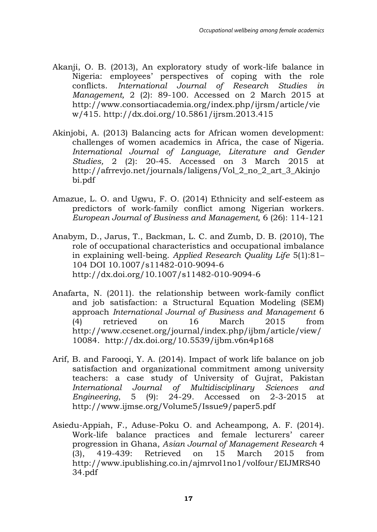- Akanji, O. B. (2013), An exploratory study of work-life balance in Nigeria: employees' perspectives of coping with the role conflicts. *International Journal of Research Studies in Management,* 2 (2): 89-100. Accessed on 2 March 2015 at [http://www.consortiacademia.org/index.php/ijrsm/article/vie](http://www.consortiacademia.org/index.php/ijrsm/article/view/415) [w/415.](http://www.consortiacademia.org/index.php/ijrsm/article/view/415)<http://dx.doi.org/10.5861/ijrsm.2013.415>
- Akinjobi, A. (2013) Balancing acts for African women development: challenges of women academics in Africa, the case of Nigeria. *International Journal of Language, Literature and Gender Studies,* 2 (2): 20-45. Accessed on 3 March 2015 at [http://afrrevjo.net/journals/laligens/Vol\\_2\\_no\\_2\\_art\\_3\\_Akinjo](http://afrrevjo.net/journals/laligens/Vol_2_no_2_art_3_Akinjobi.pdf) [bi.pdf](http://afrrevjo.net/journals/laligens/Vol_2_no_2_art_3_Akinjobi.pdf)
- Amazue, L. O. and Ugwu, F. O. (2014) Ethnicity and self-esteem as predictors of work-family conflict among Nigerian workers. *European Journal of Business and Management,* 6 (26): 114-121
- Anabym, D., Jarus, T., Backman, L. C. and Zumb, D. B. (2010), The role of occupational characteristics and occupational imbalance in explaining well-being. *Applied Research Quality Life* 5(1):81– 104 DOI 10.1007/s11482-010-9094-6 <http://dx.doi.org/10.1007/s11482-010-9094-6>
- Anafarta, N. (2011). the relationship between work-family conflict and job satisfaction: a Structural Equation Modeling (SEM) approach *International Journal of Business and Management* 6 (4) retrieved on 16 March 2015 from [http://www.ccsenet.org/journal/index.php/ijbm/article/view/](http://www.ccsenet.org/journal/index.php/ijbm/article/view/10084) [10084.](http://www.ccsenet.org/journal/index.php/ijbm/article/view/10084) <http://dx.doi.org/10.5539/ijbm.v6n4p168>
- Arif, B. and Farooqi, Y. A. (2014). Impact of work life balance on job satisfaction and organizational commitment among university teachers: a case study of University of Gujrat, Pakistan *International Journal of Multidisciplinary Sciences and Engineering*, 5 (9): 24-29. Accessed on 2-3-2015 at <http://www.ijmse.org/Volume5/Issue9/paper5.pdf>
- Asiedu-Appiah, F., Aduse-Poku O. and Acheampong, A. F. (2014). Work-life balance practices and female lecturers' career progression in Ghana, *Asian Journal of Management Research* 4 (3), 419-439: Retrieved on 15 March 2015 from [http://www.ipublishing.co.in/ajmrvol1no1/volfour/EIJMRS40](http://www.ipublishing.co.in/ajmrvol1no1/volfour/EIJMRS4034.pdf) [34.pdf](http://www.ipublishing.co.in/ajmrvol1no1/volfour/EIJMRS4034.pdf)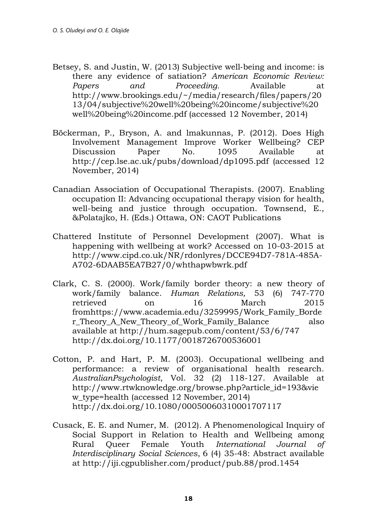- Betsey, S. and Justin, W. (2013) Subjective well‐being and income: is there any evidence of satiation? *American Economic Review: Papers and Proceeding.* Available at [http://www.brookings.edu/~/media/research/files/papers/20](http://www.brookings.edu/~/media/research/files/papers/2013/04/subjective%20well%20being%20income/subjective%20well%20being%20income.pdf) [13/04/subjective%20well%20being%20income/subjective%20](http://www.brookings.edu/~/media/research/files/papers/2013/04/subjective%20well%20being%20income/subjective%20well%20being%20income.pdf) [well%20being%20income.pdf](http://www.brookings.edu/~/media/research/files/papers/2013/04/subjective%20well%20being%20income/subjective%20well%20being%20income.pdf) (accessed 12 November, 2014)
- Böckerman, P., Bryson, A. and lmakunnas, P. (2012). Does High Involvement Management Improve Worker Wellbeing? CEP Discussion Paper No. 1095 Available at <http://cep.lse.ac.uk/pubs/download/dp1095.pdf>(accessed 12 November, 2014)
- Canadian Association of Occupational Therapists. (2007). Enabling occupation II: Advancing occupational therapy vision for health, well-being and justice through occupation. Townsend, E., &Polatajko, H. (Eds.) Ottawa, ON: CAOT Publications
- Chattered Institute of Personnel Development (2007). What is happening with wellbeing at work? Accessed on 10-03-2015 at [http://www.cipd.co.uk/NR/rdonlyres/DCCE94D7-781A-485A-](http://www.cipd.co.uk/NR/rdonlyres/DCCE94D7-781A-485A-A702-6DAAB5EA7B27/0/whthapwbwrk.pdf)[A702-6DAAB5EA7B27/0/whthapwbwrk.pdf](http://www.cipd.co.uk/NR/rdonlyres/DCCE94D7-781A-485A-A702-6DAAB5EA7B27/0/whthapwbwrk.pdf)
- Clark, C. S. (2000). Work/family border theory: a new theory of work/family balance. *Human Relations,* 53 (6) 747-770 retrieved on 16 March 2015 fro[mhttps://www.academia.edu/3259995/Work\\_Family\\_Borde](https://www.academia.edu/3259995/Work_Family_Border_Theory_A_New_Theory_of_Work_Family_Balance) [r\\_Theory\\_A\\_New\\_Theory\\_of\\_Work\\_Family\\_Balance](https://www.academia.edu/3259995/Work_Family_Border_Theory_A_New_Theory_of_Work_Family_Balance) also available at<http://hum.sagepub.com/content/53/6/747> <http://dx.doi.org/10.1177/0018726700536001>
- Cotton, P. and Hart, P. M. (2003). Occupational wellbeing and performance: a review of organisational health research. *AustralianPsychologist*, Vol. 32 (2) 118-127. Available at [http://www.rtwknowledge.org/browse.php?article\\_id=193&vie](http://www.rtwknowledge.org/browse.php?article_id=193&view_type=health) [w\\_type=health](http://www.rtwknowledge.org/browse.php?article_id=193&view_type=health) (accessed 12 November, 2014) <http://dx.doi.org/10.1080/00050060310001707117>
- Cusack, E. E. and Numer, M. (2012). A Phenomenological Inquiry of Social Support in Relation to Health and Wellbeing among Rural Queer Female Youth *International Journal of Interdisciplinary Social Sciences*, 6 (4) 35-48: Abstract available at<http://iji.cgpublisher.com/product/pub.88/prod.1454>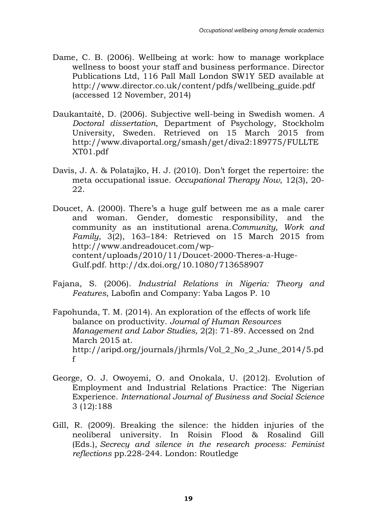- Dame, C. B. (2006). Wellbeing at work: how to manage workplace wellness to boost your staff and business performance. Director Publications Ltd, 116 Pall Mall London SW1Y 5ED available at [http://www.director.co.uk/content/pdfs/wellbeing\\_guide.pdf](http://www.director.co.uk/content/pdfs/wellbeing_guide.pdf)  (accessed 12 November, 2014)
- Daukantaitė, D. (2006). Subjective well-being in Swedish women. *A Doctoral dissertation*, Department of Psychology, Stockholm University, Sweden. Retrieved on 15 March 2015 from [http://www.divaportal.org/smash/get/diva2:189775/FULLTE](http://www.divaportal.org/smash/get/diva2:189775/FULLTEXT01.pdf) [XT01.pdf](http://www.divaportal.org/smash/get/diva2:189775/FULLTEXT01.pdf)
- Davis, J. A. & Polatajko, H. J. (2010). Don't forget the repertoire: the meta occupational issue. *Occupational Therapy Now*, 12(3), 20- 22.
- Doucet, A. (2000). There's a huge gulf between me as a male carer and woman. Gender, domestic responsibility, and the community as an institutional arena.*Community, Work and Family*, 3(2), 163–184: Retrieved on 15 March 2015 from [http://www.andreadoucet.com/wp](http://www.andreadoucet.com/wp-content/uploads/2010/11/Doucet-2000-Theres-a-Huge-Gulf.pdf)[content/uploads/2010/11/Doucet-2000-Theres-a-Huge-](http://www.andreadoucet.com/wp-content/uploads/2010/11/Doucet-2000-Theres-a-Huge-Gulf.pdf)[Gulf.pdf.](http://www.andreadoucet.com/wp-content/uploads/2010/11/Doucet-2000-Theres-a-Huge-Gulf.pdf)<http://dx.doi.org/10.1080/713658907>
- Fajana, S. (2006). *Industrial Relations in Nigeria: Theory and Features*, Labofin and Company: Yaba Lagos P. 10
- Fapohunda, T. M. (2014). An exploration of the effects of work life balance on productivity. *Journal of Human Resources Management and Labor Studies,* 2(2): 71-89. Accessed on 2nd March 2015 at. [http://aripd.org/journals/jhrmls/Vol\\_2\\_No\\_2\\_June\\_2014/5.pd](http://aripd.org/journals/jhrmls/Vol_2_No_2_June_2014/5.pdf) [f](http://aripd.org/journals/jhrmls/Vol_2_No_2_June_2014/5.pdf)
- George, O. J. Owoyemi, O. and Onokala, U. (2012). Evolution of Employment and Industrial Relations Practice: The Nigerian Experience. *International Journal of Business and Social Science* 3 (12):188
- Gill, R. (2009). Breaking the silence: the hidden injuries of the neoliberal university. In Roisin Flood & Rosalind Gill (Eds.), *Secrecy and silence in the research process: Feminist reflections* pp.228-244. London: Routledge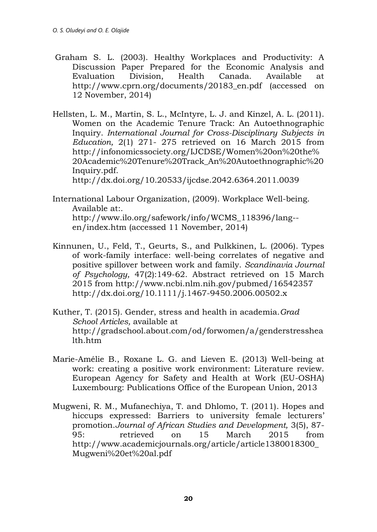- Graham S. L. (2003). Healthy Workplaces and Productivity: A Discussion Paper Prepared for the Economic Analysis and Evaluation Division, Health Canada. Available at [http://www.cprn.org/documents/20183\\_en.pdf](http://www.cprn.org/documents/20183_en.pdf) (accessed on 12 November, 2014)
- Hellsten, L. M., Martin, S. L., McIntyre, L. J. and Kinzel, A. L. (2011). Women on the Academic Tenure Track: An Autoethnographic Inquiry. *International Journal for Cross-Disciplinary Subjects in Education,* 2(1) 271- 275 retrieved on 16 March 2015 from [http://infonomicssociety.org/IJCDSE/Women%20on%20the%](http://infonomicssociety.org/IJCDSE/Women%20on%20the%20Academic%20Tenure%20Track_An%20Autoethnographic%20Inquiry.pdf) [20Academic%20Tenure%20Track\\_An%20Autoethnographic%20](http://infonomicssociety.org/IJCDSE/Women%20on%20the%20Academic%20Tenure%20Track_An%20Autoethnographic%20Inquiry.pdf) [Inquiry.pdf.](http://infonomicssociety.org/IJCDSE/Women%20on%20the%20Academic%20Tenure%20Track_An%20Autoethnographic%20Inquiry.pdf)

<http://dx.doi.org/10.20533/ijcdse.2042.6364.2011.0039>

- International Labour Organization, (2009). Workplace Well-being. Available at:. [http://www.ilo.org/safework/info/WCMS\\_118396/lang-](http://www.ilo.org/safework/info/WCMS_118396/lang--en/index.htm) [en/index.htm](http://www.ilo.org/safework/info/WCMS_118396/lang--en/index.htm) (accessed 11 November, 2014)
- Kinnunen, U., Feld, T., Geurts, S., and Pulkkinen, L. (2006). Types of work-family interface: well-being correlates of negative and positive spillover between work and family. *Scandinavia Journal of Psychology,* 47(2):149-62. Abstract retrieved on 15 March 2015 from<http://www.ncbi.nlm.nih.gov/pubmed/16542357> <http://dx.doi.org/10.1111/j.1467-9450.2006.00502.x>
- Kuther, T. (2015). Gender, stress and health in academia.*Grad School Articles,* available at [http://gradschool.about.com/od/forwomen/a/genderstresshea](http://gradschool.about.com/od/forwomen/a/genderstresshealth.htm) [lth.htm](http://gradschool.about.com/od/forwomen/a/genderstresshealth.htm)
- Marie-Amélie B., Roxane L. G. and Lieven E. (2013) Well-being at work: creating a positive work environment: Literature review. European Agency for Safety and Health at Work (EU-OSHA) Luxembourg: Publications Office of the European Union, 2013
- Mugweni, R. M., Mufanechiya, T. and Dhlomo, T. (2011). Hopes and hiccups expressed: Barriers to university female lecturers' promotion.*Journal of African Studies and Development,* 3(5), 87- 95: retrieved on 15 March 2015 from [http://www.academicjournals.org/article/article1380018300\\_](http://www.academicjournals.org/article/article1380018300_Mugweni%20et%20al.pdf) [Mugweni%20et%20al.pdf](http://www.academicjournals.org/article/article1380018300_Mugweni%20et%20al.pdf)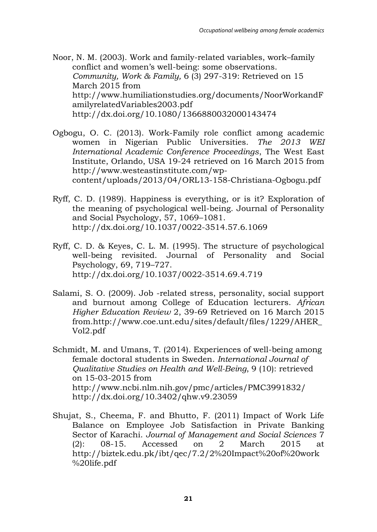Noor, N. M. (2003). Work and family-related variables, work–family conflict and women's well-being: some observations. *Community, Work & Family,* 6 (3) 297-319: Retrieved on 15 March 2015 from [http://www.humiliationstudies.org/documents/NoorWorkandF](http://www.humiliationstudies.org/documents/NoorWorkandFamilyrelatedVariables2003.pdf) [amilyrelatedVariables2003.pdf](http://www.humiliationstudies.org/documents/NoorWorkandFamilyrelatedVariables2003.pdf) <http://dx.doi.org/10.1080/1366880032000143474>

- Ogbogu, O. C. (2013). Work-Family role conflict among academic women in Nigerian Public Universities. *The 2013 WEI International Academic Conference Proceedings*, The West East Institute, Orlando, USA 19-24 retrieved on 16 March 2015 from [http://www.westeastinstitute.com/wp](http://www.westeastinstitute.com/wp-content/uploads/2013/04/ORL13-158-Christiana-Ogbogu.pdf)[content/uploads/2013/04/ORL13-158-Christiana-Ogbogu.pdf](http://www.westeastinstitute.com/wp-content/uploads/2013/04/ORL13-158-Christiana-Ogbogu.pdf)
- Ryff, C. D. (1989). Happiness is everything, or is it? Exploration of the meaning of psychological well-being. Journal of Personality and Social Psychology, 57, 1069–1081. <http://dx.doi.org/10.1037/0022-3514.57.6.1069>
- Ryff, C. D. & Keyes, C. L. M. (1995). The structure of psychological well-being revisited. Journal of Personality and Social Psychology, 69, 719–727. <http://dx.doi.org/10.1037/0022-3514.69.4.719>
- Salami, S. O. (2009). Job -related stress, personality, social support and burnout among College of Education lecturers. *African Higher Education Review* 2, 39-69 Retrieved on 16 March 2015 from[.http://www.coe.unt.edu/sites/default/files/1229/AHER\\_](http://www.coe.unt.edu/sites/default/files/1229/AHER_Vol2.pdf) [Vol2.pdf](http://www.coe.unt.edu/sites/default/files/1229/AHER_Vol2.pdf)
- Schmidt, M. and Umans, T. (2014). Experiences of well-being among female doctoral students in Sweden. *International Journal of Qualitative Studies on Health and Well-Being*, 9 (10): retrieved on 15-03-2015 from <http://www.ncbi.nlm.nih.gov/pmc/articles/PMC3991832/> <http://dx.doi.org/10.3402/qhw.v9.23059>
- Shujat, S., Cheema, F. and Bhutto, F. (2011) Impact of Work Life Balance on Employee Job Satisfaction in Private Banking Sector of Karachi. *Journal of Management and Social Sciences* 7 (2): 08-15. Accessed on 2 March 2015 at [http://biztek.edu.pk/ibt/qec/7.2/2%20Impact%20of%20work](http://biztek.edu.pk/ibt/qec/7.2/2%20Impact%20of%20work%20life.pdf) [%20life.pdf](http://biztek.edu.pk/ibt/qec/7.2/2%20Impact%20of%20work%20life.pdf)